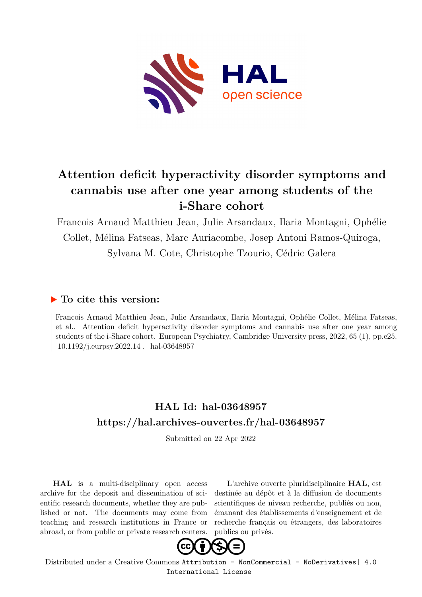

# **Attention deficit hyperactivity disorder symptoms and cannabis use after one year among students of the i-Share cohort**

Francois Arnaud Matthieu Jean, Julie Arsandaux, Ilaria Montagni, Ophélie Collet, Mélina Fatseas, Marc Auriacombe, Josep Antoni Ramos-Quiroga, Sylvana M. Cote, Christophe Tzourio, Cédric Galera

# **To cite this version:**

Francois Arnaud Matthieu Jean, Julie Arsandaux, Ilaria Montagni, Ophélie Collet, Mélina Fatseas, et al.. Attention deficit hyperactivity disorder symptoms and cannabis use after one year among students of the i-Share cohort. European Psychiatry, Cambridge University press, 2022, 65 (1), pp.e25. 10.1192/j.eurpsy.2022.14. hal-03648957

# **HAL Id: hal-03648957 <https://hal.archives-ouvertes.fr/hal-03648957>**

Submitted on 22 Apr 2022

**HAL** is a multi-disciplinary open access archive for the deposit and dissemination of scientific research documents, whether they are published or not. The documents may come from teaching and research institutions in France or abroad, or from public or private research centers.

L'archive ouverte pluridisciplinaire **HAL**, est destinée au dépôt et à la diffusion de documents scientifiques de niveau recherche, publiés ou non, émanant des établissements d'enseignement et de recherche français ou étrangers, des laboratoires publics ou privés.



Distributed under a Creative Commons [Attribution - NonCommercial - NoDerivatives| 4.0](http://creativecommons.org/licenses/by-nc-nd/4.0/) [International License](http://creativecommons.org/licenses/by-nc-nd/4.0/)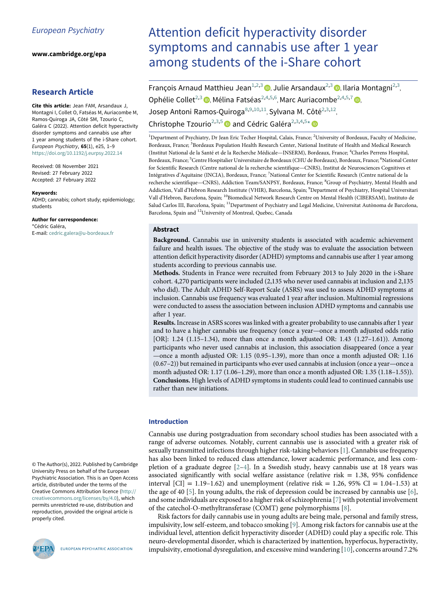www.cambridge.org/epa

# Research Article

<span id="page-1-0"></span>Cite this article: Jean FAM, Arsandaux J, Montagni I, Collet O, Fatséas M, Auriacombe M, Ramos-Quiroga JA, Côté SM, Tzourio C, Galéra C (2022). Attention deficit hyperactivity disorder symptoms and cannabis use after 1 year among students of the i-Share cohort. European Psychiatry, 65(1), e25, 1–9 <https://doi.org/10.1192/j.eurpsy.2022.14>

<span id="page-1-5"></span><span id="page-1-4"></span><span id="page-1-3"></span><span id="page-1-2"></span><span id="page-1-1"></span>Received: 08 November 2021 Revised: 27 February 2022 Accepted: 27 February 2022

#### <span id="page-1-6"></span>Keywords:

<span id="page-1-9"></span><span id="page-1-8"></span><span id="page-1-7"></span>ADHD; cannabis; cohort study; epidemiology; students

#### Author for correspondence:

\*Cédric Galéra, E-mail: [cedric.galera@u-bordeaux.fr](mailto:cedric.galera@u-bordeaux.fr)

© The Author(s), 2022. Published by Cambridge University Press on behalf of the European Psychiatric Association. This is an Open Access article, distributed under the terms of the Creative Commons Attribution licence [\(http://](http://creativecommons.org/licenses/by/4.0) [creativecommons.org/licenses/by/4.0](http://creativecommons.org/licenses/by/4.0)), which permits unrestricted re-use, distribution and reproduction, provided the original article is properly cited.



EUROPEAN PSYCHIATRIC ASSOCIATION

# Attention deficit hyperactivity disorder symptoms and cannabis use after 1 year among students of the i-Share cohort

| François Arnaud Matthieu Jean <sup>1,2,3</sup> (D, Julie Arsandaux <sup>2,3</sup> (D, Ilaria Montagni <sup>2,3</sup> ,                        |
|-----------------------------------------------------------------------------------------------------------------------------------------------|
| Ophélie Collet <sup>2,3</sup> (D, Mélina Fatséas <sup>2,4,5,6</sup> , Marc Auriacombe <sup>2,4,5,7</sup> (D,                                  |
| Josep Antoni Ramos-Quiroga <sup>8,9,10,11</sup> , Sylvana M. Côté <sup>2,3,12</sup> ,                                                         |
| Christophe Tzourio <sup>2,3,5</sup> and Cédric Galéra <sup>2,3,4,5*</sup>                                                                     |
| <sup>1</sup> Department of Psychiatry, Dr Jean Eric Techer Hospital, Calais, France; <sup>2</sup> University of Bordeaux, Faculty of Medicine |

Bordeaux, France; <sup>3</sup>Bordeaux Population Health Research Center, National Institute of Health and Medical Research (Institut National de la Santé et de la Recherche Médicale—INSERM), Bordeaux, France; <sup>4</sup>Charles Perrens Hospital, Bordeaux, France; <sup>5</sup>Centre Hospitalier Universitaire de Bordeaux (CHU de Bordeaux), Bordeaux, France; <sup>6</sup>National Center for Scientific Research (Centre national de la recherche scientifique—CNRS), Institut de Neurosciences Cognitives et Intégratives d'Aquitaine (INCIA), Bordeaux, France; <sup>7</sup>National Center for Scientific Research (Centre national de la recherche scientifique—CNRS), Addiction Team/SANPSY, Bordeaux, France; <sup>8</sup>Group of Psychiatry, Mental Health and Addiction, Vall d'Hebron Research Institute (VHIR), Barcelona, Spain; <sup>9</sup>Department of Psychiatry, Hospital Universitari Vall d'Hebron, Barcelona, Spain; <sup>10</sup>Biomedical Network Research Centre on Mental Health (CIBERSAM), Instituto de Salud Carlos III, Barcelona, Spain; <sup>11</sup>Department of Psychiatry and Legal Medicine, Universitat Autònoma de Barcelona, Barcelona, Spain and <sup>12</sup>University of Montreal, Quebec, Canada

# Abstract

Background. Cannabis use in university students is associated with academic achievement failure and health issues. The objective of the study was to evaluate the association between attention deficit hyperactivity disorder (ADHD) symptoms and cannabis use after 1 year among students according to previous cannabis use.

Methods. Students in France were recruited from February 2013 to July 2020 in the i-Share cohort. 4,270 participants were included (2,135 who never used cannabis at inclusion and 2,135 who did). The Adult ADHD Self-Report Scale (ASRS) was used to assess ADHD symptoms at inclusion. Cannabis use frequency was evaluated 1 year after inclusion. Multinomial regressions were conducted to assess the association between inclusion ADHD symptoms and cannabis use after 1 year.

Results. Increase in ASRS scores was linked with a greater probability to use cannabis after 1 year and to have a higher cannabis use frequency (once a year—once a month adjusted odds ratio [OR]: 1.24 (1.15–1.34), more than once a month adjusted OR: 1.43 (1.27–1.61)). Among participants who never used cannabis at inclusion, this association disappeared (once a year —once a month adjusted OR: 1.15 (0.95–1.39), more than once a month adjusted OR: 1.16 (0.67–2)) but remained in participants who ever used cannabis at inclusion (once a year—once a month adjusted OR: 1.17 (1.06–1.29), more than once a month adjusted OR: 1.35 (1.18–1.55)). Conclusions. High levels of ADHD symptoms in students could lead to continued cannabis use rather than new initiations.

# Introduction

Cannabis use during postgraduation from secondary school studies has been associated with a range of adverse outcomes. Notably, current cannabis use is associated with a greater risk of sexually transmitted infections through higher risk-taking behaviors [[1](#page-7-0)]. Cannabis use frequency has also been linked to reduced class attendance, lower academic performance, and less completion of a graduate degree  $[2-4]$  $[2-4]$  $[2-4]$  $[2-4]$ . In a Swedish study, heavy cannabis use at 18 years was associated significantly with social welfare assistance (relative risk  $= 1.38, 95\%$  confidence interval  $\text{[CI]} = 1.19 - 1.62$ ) and unemployment (relative risk = 1.26, 95% CI = 1.04–1.53) at the age of 40 [[5](#page-7-3)]. In young adults, the risk of depression could be increased by cannabis use  $[6]$  $[6]$  $[6]$ , and some individuals are exposed to a higher risk of schizophrenia [[7](#page-7-5)] with potential involvement of the catechol-O-methyltransferase (COMT) gene polymorphisms [\[8\]](#page-7-6).

Risk factors for daily cannabis use in young adults are being male, personal and family stress, impulsivity, low self-esteem, and tobacco smoking [[9](#page-7-7)]. Among risk factors for cannabis use at the individual level, attention deficit hyperactivity disorder (ADHD) could play a specific role. This neuro-developmental disorder, which is characterized by inattention, hyperfocus, hyperactivity, impulsivity, emotional dysregulation, and excessive mind wandering [[10\]](#page-7-8), concerns around 7.2%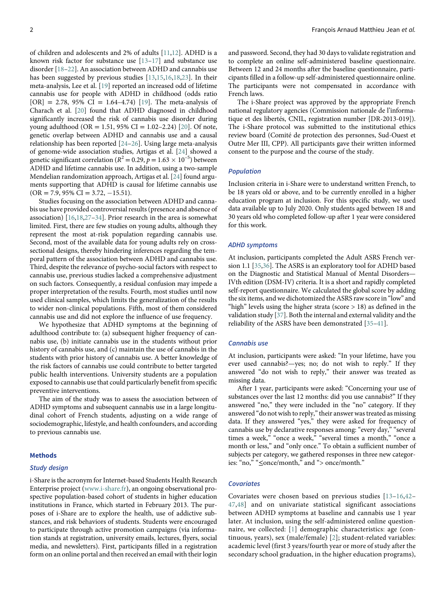of children and adolescents and 2% of adults [\[11](#page-7-9)[,12](#page-7-10)]. ADHD is a known risk factor for substance use [[13](#page-7-11)–[17\]](#page-8-0) and substance use disorder [\[18](#page-8-1)–[22](#page-8-2)]. An association between ADHD and cannabis use has been suggested by previous studies [\[13](#page-7-11)[,15](#page-8-3)[,16](#page-8-4)[,18,](#page-8-1)[23\]](#page-8-5). In their meta-analysis, Lee et al. [\[19](#page-8-6)] reported an increased odd of lifetime cannabis use for people with ADHD in childhood (odds ratio  $[OR] = 2.78, 95\% \text{ CI} = 1.64-4.74$  [[19\]](#page-8-6). The meta-analysis of Charach et al. [[20\]](#page-8-7) found that ADHD diagnosed in childhood significantly increased the risk of cannabis use disorder during young adulthood (OR = 1.51, 95% CI = 1.02–2.24) [[20\]](#page-8-7). Of note, genetic overlap between ADHD and cannabis use and a causal relationship has been reported [[24](#page-8-8)–[26\]](#page-8-9). Using large meta-analysis of genome-wide association studies, Artigas et al. [\[24](#page-8-8)] showed a genetic significant correlation ( $R^2 = 0.29$ ,  $p = 1.63 \times 10^{-5}$ ) between ADHD and lifetime cannabis use. In addition, using a two-sample Mendelian randomization approach, Artigas et al. [\[24](#page-8-8)] found arguments supporting that ADHD is causal for lifetime cannabis use  $(OR = 7.9, 95\% \text{ CI} = 3.72, -15.51).$ 

Studies focusing on the association between ADHD and cannabis use have provided controversial results (presence and absence of association) [\[16](#page-8-4)[,18](#page-8-1),[27](#page-8-10)–[34](#page-8-11)]. Prior research in the area is somewhat limited. First, there are few studies on young adults, although they represent the most at-risk population regarding cannabis use. Second, most of the available data for young adults rely on crosssectional designs, thereby hindering inferences regarding the temporal pattern of the association between ADHD and cannabis use. Third, despite the relevance of psycho-social factors with respect to cannabis use, previous studies lacked a comprehensive adjustment on such factors. Consequently, a residual confusion may impede a proper interpretation of the results. Fourth, most studies until now used clinical samples, which limits the generalization of the results to wider non-clinical populations. Fifth, most of them considered cannabis use and did not explore the influence of use frequency.

We hypothesize that ADHD symptoms at the beginning of adulthood contribute to: (a) subsequent higher frequency of cannabis use, (b) initiate cannabis use in the students without prior history of cannabis use, and (c) maintain the use of cannabis in the students with prior history of cannabis use. A better knowledge of the risk factors of cannabis use could contribute to better targeted public health interventions. University students are a population exposed to cannabis use that could particularly benefit from specific preventive interventions.

The aim of the study was to assess the association between of ADHD symptoms and subsequent cannabis use in a large longitudinal cohort of French students, adjusting on a wide range of sociodemographic, lifestyle, and health confounders, and according to previous cannabis use.

#### **Methods**

#### Study design

i-Share is the acronym for Internet-based Students Health Research Enterprise project [\(www.i-share.fr\)](http://www.i-share.fr), an ongoing observational prospective population-based cohort of students in higher education institutions in France, which started in February 2013. The purposes of i-Share are to explore the health, use of addictive substances, and risk behaviors of students. Students were encouraged to participate through active promotion campaigns (via information stands at registration, university emails, lectures, flyers, social media, and newsletters). First, participants filled in a registration form on an online portal and then received an email with their login

and password. Second, they had 30 days to validate registration and to complete an online self-administered baseline questionnaire. Between 12 and 24 months after the baseline questionnaire, participants filled in a follow-up self-administered questionnaire online. The participants were not compensated in accordance with French laws.

The i-Share project was approved by the appropriate French national regulatory agencies (Commission nationale de l'informatique et des libertés, CNIL, registration number [DR-2013-019]). The i-Share protocol was submitted to the institutional ethics review board (Comité de protection des personnes, Sud-Ouest et Outre Mer III, CPP). All participants gave their written informed consent to the purpose and the course of the study.

#### Population

Inclusion criteria in i-Share were to understand written French, to be 18 years old or above, and to be currently enrolled in a higher education program at inclusion. For this specific study, we used data available up to July 2020. Only students aged between 18 and 30 years old who completed follow-up after 1 year were considered for this work.

#### ADHD symptoms

At inclusion, participants completed the Adult ASRS French version 1.1 [\[35](#page-8-12)[,36\]](#page-8-0). The ASRS is an exploratory tool for ADHD based on the Diagnostic and Statistical Manual of Mental Disorders— IVth edition (DSM-IV) criteria. It is a short and rapidly completed self-report questionnaire. We calculated the global score by adding the six items, and we dichotomized the ASRS raw score in "low" and "high" levels using the higher strata (score  $> 18$ ) as defined in the validation study [\[37](#page-8-1)]. Both the internal and external validity and the reliability of the ASRS have been demonstrated [[35](#page-8-12)–[41\]](#page-8-2).

# Cannabis use

At inclusion, participants were asked: "In your lifetime, have you ever used cannabis?—yes; no; do not wish to reply." If they answered "do not wish to reply," their answer was treated as missing data.

After 1 year, participants were asked: "Concerning your use of substances over the last 12 months: did you use cannabis?" If they answered "no," they were included in the "no" category. If they answered "do not wish to reply," their answer was treated as missing data. If they answered "yes," they were asked for frequency of cannabis use by declarative responses among: "every day," "several times a week," "once a week," "several times a month," "once a month or less," and "only once." To obtain a sufficient number of subjects per category, we gathered responses in three new categories: "no," "≤once/month," and "> once/month."

#### **Covariates**

Covariates were chosen based on previous studies [[13](#page-7-11)–[16](#page-8-4),[42](#page-8-5)– [47](#page-8-13)[,48\]](#page-8-14) and on univariate statistical significant associations between ADHD symptoms at baseline and cannabis use 1 year later. At inclusion, using the self-administered online questionnaire, we collected: [\[1\]](#page-7-0) demographic characteristics: age (continuous, years), sex (male/female) [[2](#page-7-1)]; student-related variables: academic level (first 3 years/fourth year or more of study after the secondary school graduation, in the higher education programs),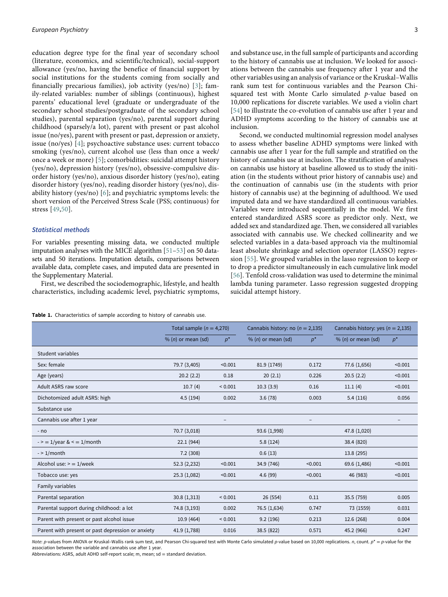education degree type for the final year of secondary school (literature, economics, and scientific/technical), social-support allowance (yes/no, having the benefice of financial support by social institutions for the students coming from socially and financially precarious families), job activity (yes/no) [[3\]](#page-7-12); family-related variables: number of siblings (continuous), highest parents' educational level (graduate or undergraduate of the secondary school studies/postgraduate of the secondary school studies), parental separation (yes/no), parental support during childhood (sparsely/a lot), parent with present or past alcohol issue (no/yes), parent with present or past, depression or anxiety, issue (no/yes) [[4](#page-7-2)]; psychoactive substance uses: current tobacco smoking (yes/no), current alcohol use (less than once a week/ once a week or more) [\[5\]](#page-7-3); comorbidities: suicidal attempt history (yes/no), depression history (yes/no), obsessive-compulsive disorder history (yes/no), anxious disorder history (yes/no), eating disorder history (yes/no), reading disorder history (yes/no), disability history (yes/no) [[6](#page-7-4)]; and psychiatric symptoms levels: the short version of the Perceived Stress Scale (PSS; continuous) for stress [[49](#page-8-15)[,50\]](#page-8-16).

# Statistical methods

Student variables

For variables presenting missing data, we conducted multiple imputation analyses with the MICE algorithm [[51](#page-8-17)–[53\]](#page-8-18) on 50 datasets and 50 iterations. Imputation details, comparisons between available data, complete cases, and imputed data are presented in the Supplementary Material.

First, we described the sociodemographic, lifestyle, and health characteristics, including academic level, psychiatric symptoms,

and substance use, in the full sample of participants and according to the history of cannabis use at inclusion. We looked for associations between the cannabis use frequency after 1 year and the other variables using an analysis of variance or the Kruskal–Wallis rank sum test for continuous variables and the Pearson Chisquared test with Monte Carlo simulated p-value based on 10,000 replications for discrete variables. We used a violin chart [[54](#page-8-19)] to illustrate the co-evolution of cannabis use after 1 year and ADHD symptoms according to the history of cannabis use at inclusion.

Second, we conducted multinomial regression model analyses to assess whether baseline ADHD symptoms were linked with cannabis use after 1 year for the full sample and stratified on the history of cannabis use at inclusion. The stratification of analyses on cannabis use history at baseline allowed us to study the initiation (in the students without prior history of cannabis use) and the continuation of cannabis use (in the students with prior history of cannabis use) at the beginning of adulthood. We used imputed data and we have standardized all continuous variables. Variables were introduced sequentially in the model. We first entered standardized ASRS score as predictor only. Next, we added sex and standardized age. Then, we considered all variables associated with cannabis use. We checked collinearity and we selected variables in a data-based approach via the multinomial least absolute shrinkage and selection operator (LASSO) regression [\[55](#page-8-20)]. We grouped variables in the lasso regression to keep or to drop a predictor simultaneously in each cumulative link model [[56](#page-9-0)]. Tenfold cross-validation was used to determine the minimal lambda tuning parameter. Lasso regression suggested dropping suicidal attempt history.

Total sample  $(n = 4,270)$  Cannabis history: no  $(n = 2,135)$  Cannabis history: yes  $(n = 2,135)$ 

% (n) or mean (sd)  $p^*$  % (n) or mean (sd)  $p^*$  % (n) or mean (sd)  $p^*$ 

Table 1. Characteristics of sample according to history of cannabis use.

| Sex: female                                       | 79.7 (3,405) | < 0.001           | 81.9 (1749)  | 0.172             | 77.6 (1,656) | < 0.001 |
|---------------------------------------------------|--------------|-------------------|--------------|-------------------|--------------|---------|
| Age (years)                                       | 20.2(2.2)    | 0.18              | 20(2.1)      | 0.226             | 20.5(2.2)    | < 0.001 |
| Adult ASRS raw score                              | 10.7(4)      | ${}< 0.001$       | 10.3(3.9)    | 0.16              | 11.1(4)      | < 0.001 |
| Dichotomized adult ASRS: high                     | 4.5(194)     | 0.002             | 3.6(78)      | 0.003             | 5.4(116)     | 0.056   |
| Substance use                                     |              |                   |              |                   |              |         |
| Cannabis use after 1 year                         |              | $\qquad \qquad -$ |              | $\qquad \qquad -$ |              |         |
| - no                                              | 70.7 (3,018) |                   | 93.6 (1,998) |                   | 47.8 (1,020) |         |
| $-$ > = 1/year & < = 1/month                      | 22.1(944)    |                   | 5.8(124)     |                   | 38.4 (820)   |         |
| $-$ > 1/month                                     | 7.2 (308)    |                   | 0.6(13)      |                   | 13.8 (295)   |         |
| Alcohol use: $>$ = 1/week                         | 52.3 (2,232) | < 0.001           | 34.9 (746)   | < 0.001           | 69.6 (1,486) | < 0.001 |
| Tobacco use: yes                                  | 25.3 (1,082) | < 0.001           | 4.6(99)      | < 0.001           | 46 (983)     | < 0.001 |
| Family variables                                  |              |                   |              |                   |              |         |
| Parental separation                               | 30.8 (1,313) | ${}< 0.001$       | 26(554)      | 0.11              | 35.5(759)    | 0.005   |
| Parental support during childhood: a lot          | 74.8 (3,193) | 0.002             | 76.5 (1,634) | 0.747             | 73 (1559)    | 0.031   |
| Parent with present or past alcohol issue         | 10.9(464)    | ${}_{0.001}$      | 9.2(196)     | 0.213             | 12.6 (268)   | 0.004   |
| Parent with present or past depression or anxiety | 41.9 (1,788) | 0.016             | 38.5 (822)   | 0.571             | 45.2 (966)   | 0.247   |
|                                                   |              |                   |              |                   |              |         |

Note: p-values from ANOVA or Kruskal–Wallis rank sum test, and Pearson Chi-squared test with Monte Carlo simulated p-value based on 10,000 replications, n, count.  $p^* = p$ -value for the association between the variable and cannabis use after 1 year.

<span id="page-3-0"></span>Abbreviations: ASRS, adult ADHD self-report scale; m, mean;  $sd =$  standard deviation.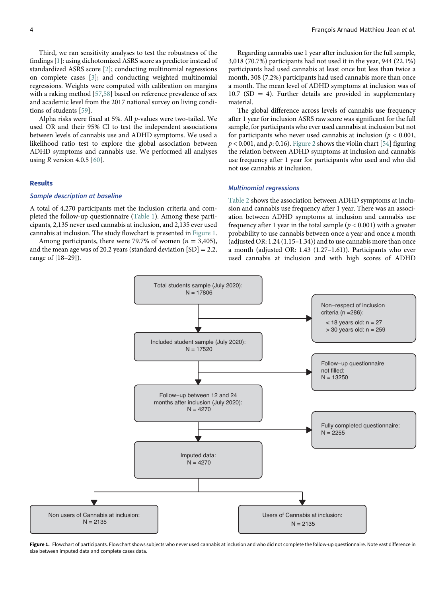Third, we ran sensitivity analyses to test the robustness of the findings [\[1\]](#page-7-0): using dichotomized ASRS score as predictor instead of standardized ASRS score [[2](#page-7-1)]; conducting multinomial regressions on complete cases [\[3\]](#page-7-12); and conducting weighted multinomial regressions. Weights were computed with calibration on margins with a raking method [\[57](#page-9-1),[58\]](#page-9-2) based on reference prevalence of sex and academic level from the 2017 national survey on living conditions of students [\[59](#page-9-3)].

Alpha risks were fixed at 5%. All p-values were two-tailed. We used OR and their 95% CI to test the independent associations between levels of cannabis use and ADHD symptoms. We used a likelihood ratio test to explore the global association between ADHD symptoms and cannabis use. We performed all analyses using  $R$  version 4.0.5 [[60](#page-9-4)].

# Results

#### Sample description at baseline

A total of 4,270 participants met the inclusion criteria and completed the follow-up questionnaire [\(Table 1\)](#page-3-0). Among these participants, 2,135 never used cannabis at inclusion, and 2,135 ever used cannabis at inclusion. The study flowchart is presented in [Figure 1.](#page-4-0)

<span id="page-4-0"></span>Among participants, there were 79.7% of women ( $n = 3,405$ ), and the mean age was of 20.2 years (standard deviation [SD] = 2.2, range of [18–29]).

Regarding cannabis use 1 year after inclusion for the full sample, 3,018 (70.7%) participants had not used it in the year, 944 (22.1%) participants had used cannabis at least once but less than twice a month, 308 (7.2%) participants had used cannabis more than once a month. The mean level of ADHD symptoms at inclusion was of  $10.7$  (SD = 4). Further details are provided in supplementary material.

The global difference across levels of cannabis use frequency after 1 year for inclusion ASRS raw score was significant for the full sample, for participants who ever used cannabis at inclusion but not for participants who never used cannabis at inclusion ( $p < 0.001$ ,  $p < 0.001$ , and p: 0.16). [Figure 2](#page-5-0) shows the violin chart [[54\]](#page-8-19) figuring the relation between ADHD symptoms at inclusion and cannabis use frequency after 1 year for participants who used and who did not use cannabis at inclusion.

# Multinomial regressions

[Table 2](#page-5-1) shows the association between ADHD symptoms at inclusion and cannabis use frequency after 1 year. There was an association between ADHD symptoms at inclusion and cannabis use frequency after 1 year in the total sample ( $p < 0.001$ ) with a greater probability to use cannabis between once a year and once a month (adjusted OR: 1.24 (1.15–1.34)) and to use cannabis more than once a month (adjusted OR: 1.43 (1.27–1.61)). Participants who ever used cannabis at inclusion and with high scores of ADHD



Figure 1. Flowchart of participants. Flowchart shows subjects who never used cannabis at inclusion and who did not complete the follow-up questionnaire. Note vast difference in size between imputed data and complete cases data.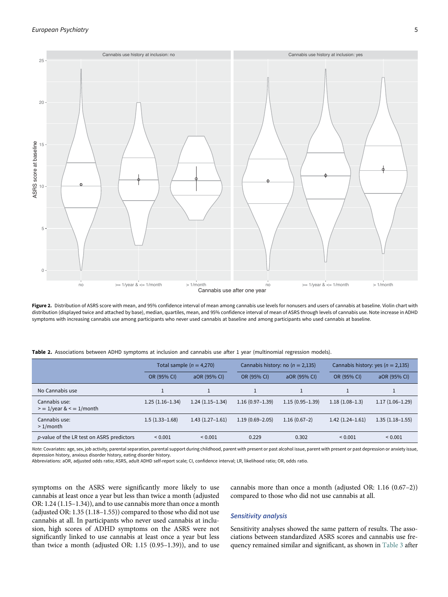<span id="page-5-0"></span>

Figure 2. Distribution of ASRS score with mean, and 95% confidence interval of mean among cannabis use levels for nonusers and users of cannabis at baseline. Violin chart with distribution (displayed twice and attached by base), median, quartiles, mean, and 95% confidence interval of mean of ASRS through levels of cannabis use. Note increase in ADHD symptoms with increasing cannabis use among participants who never used cannabis at baseline and among participants who used cannabis at baseline.

| Table 2. Associations between ADHD symptoms at inclusion and cannabis use after 1 year (multinomial regression models). |  |  |  |  |  |  |  |
|-------------------------------------------------------------------------------------------------------------------------|--|--|--|--|--|--|--|
|-------------------------------------------------------------------------------------------------------------------------|--|--|--|--|--|--|--|

|                                                | Total sample $(n = 4,270)$ |                   |                     | Cannabis history: no ( $n = 2,135$ ) |                     | Cannabis history: yes ( $n = 2,135$ ) |  |
|------------------------------------------------|----------------------------|-------------------|---------------------|--------------------------------------|---------------------|---------------------------------------|--|
|                                                | OR (95% CI)                | aOR (95% CI)      | OR (95% CI)         | aOR (95% CI)                         | OR (95% CI)         | aOR (95% CI)                          |  |
| No Cannabis use                                |                            |                   |                     |                                      |                     |                                       |  |
| Cannabis use:<br>$= 1$ /year & $\leq 1$ /month | $1.25(1.16-1.34)$          | $1.24(1.15-1.34)$ | $1.16(0.97-1.39)$   | $1.15(0.95 - 1.39)$                  | $1.18(1.08-1.3)$    | $1.17(1.06-1.29)$                     |  |
| Cannabis use:<br>$>1$ /month                   | $1.5(1.33-1.68)$           | $1.43(1.27-1.61)$ | $1.19(0.69 - 2.05)$ | $1.16(0.67-2)$                       | $1.42(1.24 - 1.61)$ | $1.35(1.18-1.55)$                     |  |
| p-value of the LR test on ASRS predictors      | ${}< 0.001$                | ${}_{0.001}$      | 0.229               | 0.302                                | ${}_{0.001}$        | ${}_{0.001}$                          |  |

Note: Covariates: age, sex, job activity, parental separation, parental support during childhood, parent with present or past alcohol issue, parent with present or past depression or anxiety issue, depression history, anxious disorder history, eating disorder history.

<span id="page-5-1"></span>Abbreviations: aOR, adjusted odds ratio; ASRS, adult ADHD self-report scale; CI, confidence interval; LR, likelihood ratio; OR, odds ratio.

symptoms on the ASRS were significantly more likely to use cannabis at least once a year but less than twice a month (adjusted OR: 1.24 (1.15–1.34)), and to use cannabis more than once a month (adjusted OR: 1.35 (1.18–1.55)) compared to those who did not use cannabis at all. In participants who never used cannabis at inclusion, high scores of ADHD symptoms on the ASRS were not significantly linked to use cannabis at least once a year but less than twice a month (adjusted OR: 1.15 (0.95–1.39)), and to use

cannabis more than once a month (adjusted OR: 1.16 (0.67–2)) compared to those who did not use cannabis at all.

### Sensitivity analysis

Sensitivity analyses showed the same pattern of results. The associations between standardized ASRS scores and cannabis use frequency remained similar and significant, as shown in [Table 3](#page-6-0) after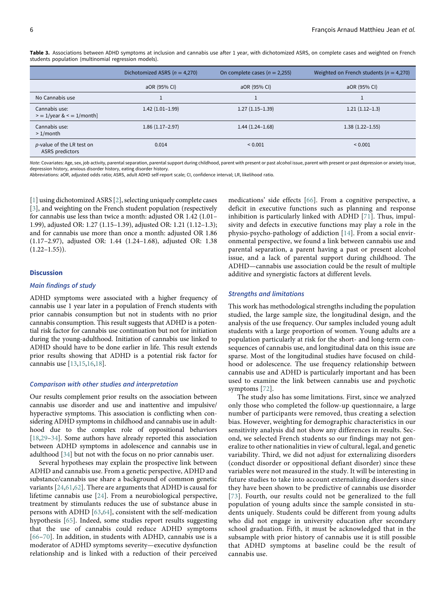|                                                 | Dichotomized ASRS ( $n = 4,270$ ) | On complete cases ( $n = 2,255$ ) | Weighted on French students ( $n = 4,270$ ) |
|-------------------------------------------------|-----------------------------------|-----------------------------------|---------------------------------------------|
|                                                 | aOR (95% CI)                      | aOR (95% CI)                      | aOR (95% CI)                                |
| No Cannabis use                                 |                                   |                                   |                                             |
| Cannabis use:<br>$= 1$ /year & $\leq 1$ /month] | $1.42(1.01-1.99)$                 | $1.27(1.15-1.39)$                 | $1.21(1.12-1.3)$                            |
| Cannabis use:<br>$>1$ /month                    | $1.86(1.17-2.97)$                 | $1.44(1.24 - 1.68)$               | $1.38(1.22 - 1.55)$                         |
| p-value of the LR test on<br>ASRS predictors    | 0.014                             | ${}_{0.001}$                      | ${}< 0.001$                                 |

Table 3. Associations between ADHD symptoms at inclusion and cannabis use after 1 year, with dichotomized ASRS, on complete cases and weighted on French students population (multinomial regression models).

Note: Covariates: Age, sex, job activity, parental separation, parental support during childhood, parent with present or past alcohol issue, parent with present or past depression or anxiety issue, depression history, anxious disorder history, eating disorder history.

<span id="page-6-0"></span>Abbreviations: aOR, adjusted odds ratio; ASRS, adult ADHD self-report scale; CI, confidence interval; LR, likelihood ratio.

[[1](#page-7-0)] using dichotomized ASRS [[2](#page-7-1)], selecting uniquely complete cases [[3](#page-7-12)], and weighting on the French student population (respectively for cannabis use less than twice a month: adjusted OR 1.42 (1.01– 1.99), adjusted OR: 1.27 (1.15–1.39), adjusted OR: 1.21 (1.12–1.3); and for cannabis use more than once a month: adjusted OR 1.86 (1.17–2.97), adjusted OR: 1.44 (1.24–1.68), adjusted OR: 1.38  $(1.22-1.55)$ .

# **Discussion**

# Main findings of study

ADHD symptoms were associated with a higher frequency of cannabis use 1 year later in a population of French students with prior cannabis consumption but not in students with no prior cannabis consumption. This result suggests that ADHD is a potential risk factor for cannabis use continuation but not for initiation during the young-adulthood. Initiation of cannabis use linked to ADHD should have to be done earlier in life. This result extends prior results showing that ADHD is a potential risk factor for cannabis use [\[13](#page-7-11)[,15](#page-8-3),[16,](#page-8-4)[18\]](#page-8-1).

# Comparison with other studies and interpretation

Our results complement prior results on the association between cannabis use disorder and use and inattentive and impulsive/ hyperactive symptoms. This association is conflicting when considering ADHD symptoms in childhood and cannabis use in adulthood due to the complex role of oppositional behaviors [[18](#page-8-1)[,29](#page-8-21)–[34](#page-8-11)]. Some authors have already reported this association between ADHD symptoms in adolescence and cannabis use in adulthood [\[34](#page-8-11)] but not with the focus on no prior cannabis user.

Several hypotheses may explain the prospective link between ADHD and cannabis use. From a genetic perspective, ADHD and substance/cannabis use share a background of common genetic variants [[24](#page-8-8)[,61](#page-9-5),[62\]](#page-9-6). There are arguments that ADHD is causal for lifetime cannabis use [\[24\]](#page-8-8). From a neurobiological perspective, treatment by stimulants reduces the use of substance abuse in persons with ADHD [\[63](#page-9-7),[64\]](#page-9-8), consistent with the self-medication hypothesis [[65](#page-9-9)]. Indeed, some studies report results suggesting that the use of cannabis could reduce ADHD symptoms [[66](#page-9-0)–[70\]](#page-9-10). In addition, in students with ADHD, cannabis use is a moderator of ADHD symptoms severity—executive dysfunction relationship and is linked with a reduction of their perceived medications' side effects [[66\]](#page-9-0). From a cognitive perspective, a deficit in executive functions such as planning and response inhibition is particularly linked with ADHD [[71](#page-9-6)]. Thus, impulsivity and defects in executive functions may play a role in the physio-psycho-pathology of addiction [[14](#page-7-13)]. From a social environmental perspective, we found a link between cannabis use and parental separation, a parent having a past or present alcohol issue, and a lack of parental support during childhood. The ADHD—cannabis use association could be the result of multiple additive and synergistic factors at different levels.

#### Strengths and limitations

This work has methodological strengths including the population studied, the large sample size, the longitudinal design, and the analysis of the use frequency. Our samples included young adult students with a large proportion of women. Young adults are a population particularly at risk for the short- and long-term consequences of cannabis use, and longitudinal data on this issue are sparse. Most of the longitudinal studies have focused on childhood or adolescence. The use frequency relationship between cannabis use and ADHD is particularly important and has been used to examine the link between cannabis use and psychotic symptoms [\[72\]](#page-9-11).

The study also has some limitations. First, since we analyzed only those who completed the follow-up questionnaire, a large number of participants were removed, thus creating a selection bias. However, weighting for demographic characteristics in our sensitivity analysis did not show any differences in results. Second, we selected French students so our findings may not generalize to other nationalities in view of cultural, legal, and genetic variability. Third, we did not adjust for externalizing disorders (conduct disorder or oppositional defiant disorder) since these variables were not measured in the study. It will be interesting in future studies to take into account externalizing disorders since they have been shown to be predictive of cannabis use disorder [[73\]](#page-9-12). Fourth, our results could not be generalized to the full population of young adults since the sample consisted in students uniquely. Students could be different from young adults who did not engage in university education after secondary school graduation. Fifth, it must be acknowledged that in the subsample with prior history of cannabis use it is still possible that ADHD symptoms at baseline could be the result of cannabis use.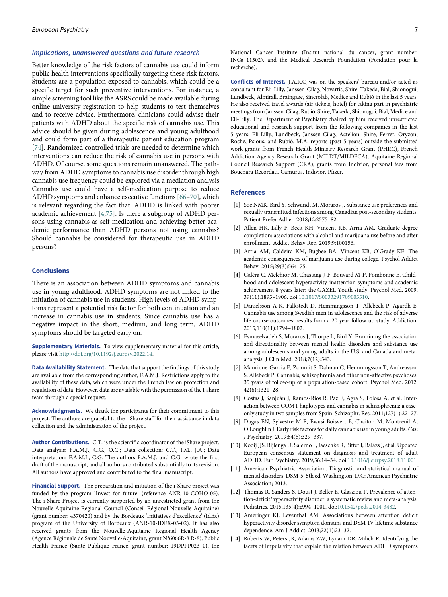#### Implications, unanswered questions and future research

Better knowledge of the risk factors of cannabis use could inform public health interventions specifically targeting these risk factors. Students are a population exposed to cannabis, which could be a specific target for such preventive interventions. For instance, a simple screening tool like the ASRS could be made available during online university registration to help students to test themselves and to receive advice. Furthermore, clinicians could advise their patients with ADHD about the specific risk of cannabis use. This advice should be given during adolescence and young adulthood and could form part of a therapeutic patient education program [[74\]](#page-9-8). Randomized controlled trials are needed to determine which interventions can reduce the risk of cannabis use in persons with ADHD. Of course, some questions remain unanswered. The pathway from ADHD symptoms to cannabis use disorder through high cannabis use frequency could be explored via a mediation analysis Cannabis use could have a self-medication purpose to reduce ADHD symptoms and enhance executive functions [[66](#page-9-0)–[70\]](#page-9-10), which is relevant regarding the fact that. ADHD is linked with poorer academic achievement [\[4,](#page-7-2)[75\]](#page-9-9). Is there a subgroup of ADHD persons using cannabis as self-medication and achieving better academic performance than ADHD persons not using cannabis? Should cannabis be considered for therapeutic use in ADHD persons?

### <span id="page-7-12"></span><span id="page-7-2"></span><span id="page-7-1"></span><span id="page-7-0"></span>Conclusions

<span id="page-7-3"></span>There is an association between ADHD symptoms and cannabis use in young adulthood. ADHD symptoms are not linked to the initiation of cannabis use in students. High levels of ADHD symptoms represent a potential risk factor for both continuation and an increase in cannabis use in students. Since cannabis use has a negative impact in the short, medium, and long term, ADHD symptoms should be targeted early on.

<span id="page-7-4"></span>Supplementary Materials. To view supplementary material for this article, please visit [http://doi.org/10.1192/j.eurpsy.2022.14.](http://doi.org/10.1192/j.eurpsy.2022.14)

<span id="page-7-6"></span><span id="page-7-5"></span>Data Availability Statement. The data that support the findings of this study are available from the corresponding author, F.A.M.J. Restrictions apply to the availability of these data, which were under the French law on protection and regulation of data. However, data are available with the permission of the I-share team through a special request.

<span id="page-7-7"></span>Acknowledgments. We thank the participants for their commitment to this project. The authors are grateful to the i-Share staff for their assistance in data collection and the administration of the project.

<span id="page-7-9"></span><span id="page-7-8"></span>Author Contributions. C.T. is the scientific coordinator of the iShare project. Data analysis: F.A.M.J., C.G., O.C.; Data collection: C.T., I.M., J.A.; Data interpretation: F.A.M.J., C.G. The authors F.A.M.J. and C.G. wrote the first draft of the manuscript, and all authors contributed substantially to its revision. All authors have approved and contributed to the final manuscript.

<span id="page-7-13"></span><span id="page-7-11"></span><span id="page-7-10"></span>Financial Support. The preparation and initiation of the i-Share project was funded by the program 'Invest for future' (reference ANR-10-COHO-05). The i-Share Project is currently supported by an unrestricted grant from the Nouvelle-Aquitaine Regional Council (Conseil Régional Nouvelle-Aquitaine) (grant number: 4370420) and by the Bordeaux 'Initiatives d'excellence' (IdEx) program of the University of Bordeaux (ANR-10-IDEX-03-02). It has also received grants from the Nouvelle-Aquitaine Regional Health Agency (Agence Régionale de Santé Nouvelle-Aquitaine, grant N°6066R-8 R-8), Public Health France (Santé Publique France, grant number: 19DPPP023–0), the National Cancer Institute (Insitut national du cancer, grant number: INCa\_11502), and the Medical Research Foundation (Fondation pour la recherche).

Conflicts of Interest. J.A.R.Q was on the speakers' bureau and/or acted as consultant for Eli-Lilly, Janssen-Cilag, Novartis, Shire, Takeda, Bial, Shionogui, Lundbeck, Almirall, Braingaze, Sincrolab, Medice and Rubió in the last 5 years. He also received travel awards (air tickets, hotel) for taking part in psychiatric meetings from Janssen-Cilag, Rubió, Shire, Takeda, Shionogui, Bial, Medice and Eli-Lilly. The Department of Psychiatry chaired by him received unrestricted educational and research support from the following companies in the last 5 years: Eli-Lilly, Lundbeck, Janssen-Cilag, Actelion, Shire, Ferrer, Oryzon, Roche, Psious, and Rubió. M.A. reports (past 5 years) outside the submitted work grants from French Health Ministry Research Grant (PHRC), French Addiction Agency Research Grant (MILDT/MILDECA), Aquitaine Regional Council Research Support (CRA); grants from Indivior, personal fees from Bouchara Recordati, Camurus, Indivior, Pfizer.

#### References

- [1] Soe NMK, Bird Y, Schwandt M, Moraros J. Substance use preferences and sexually transmitted infections among Canadian post-secondary students. Patient Prefer Adher. 2018;12:2575–82.
- [2] Allen HK, Lilly F, Beck KH, Vincent KB, Arria AM. Graduate degree completion: associations with alcohol and marijuana use before and after enrollment. Addict Behav Rep. 2019;9:100156.
- [3] Arria AM, Caldeira KM, Bugbee BA, Vincent KB, O'Grady KE. The academic consequences of marijuana use during college. Psychol Addict Behav. 2015;29(3):564–75.
- [4] Galéra C, Melchior M, Chastang J-F, Bouvard M-P, Fombonne E. Childhood and adolescent hyperactivity-inattention symptoms and academic achievement 8 years later: the GAZEL Youth study. Psychol Med. 2009; 39(11):1895–1906. doi[:10.1017/S0033291709005510](https://doi.org/10.1017/S0033291709005510).
- [5] Danielsson A-K, Falkstedt D, Hemmingsson T, Allebeck P, Agardh E. Cannabis use among Swedish men in adolescence and the risk of adverse life course outcomes: results from a 20 year-follow-up study. Addiction. 2015;110(11):1794–1802.
- [6] Esmaeelzadeh S, Moraros J, Thorpe L, Bird Y. Examining the association and directionality between mental health disorders and substance use among adolescents and young adults in the U.S. and Canada and metaanalysis. J Clin Med. 2018;7(12):543.
- [7] Manrique-Garcia E, Zammit S, Dalman C, Hemmingsson T, Andreasson S, Allebeck P. Cannabis, schizophrenia and other non-affective psychoses: 35 years of follow-up of a population-based cohort. Psychol Med. 2012; 42(6):1321–28.
- [8] Costas J, Sanjuán J, Ramos-Ríos R, Paz E, Agra S, Tolosa A, et al. Interaction between COMT haplotypes and cannabis in schizophrenia: a caseonly study in two samples from Spain. Schizophr. Res. 2011;127(1):22–27.
- [9] Dugas EN, Sylvestre M-P, Ewusi-Boisvert E, Chaiton M, Montreuil A, O'Loughlin J. Early risk factors for daily cannabis use in young adults. Can J Psychiatry. 2019;64(5):329–337.
- [10] Kooij JJS, Bijlenga D, Salerno L, Jaeschke R, Bitter I, Balázs J, et al. Updated European consensus statement on diagnosis and treatment of adult ADHD. Eur Psychiatry. 2019;56:14–34. doi[:10.1016/j.eurpsy.2018.11.001.](https://doi.org/10.1016/j.eurpsy.2018.11.001)
- [11] American Psychiatric Association. Diagnostic and statistical manual of mental disorders: DSM-5. 5th ed. Washington, D.C: American Psychiatric Association; 2013.
- [12] Thomas R, Sanders S, Doust J, Beller E, Glasziou P. Prevalence of attention-deficit/hyperactivity disorder: a systematic review and meta-analysis. Pediatrics. 2015;135(4):e994–1001. doi[:10.1542/peds.2014-3482](https://doi.org/10.1542/peds.2014-3482).
- [13] Ameringer KJ, Leventhal AM. Associations between attention deficit hyperactivity disorder symptom domains and DSM-IV lifetime substance dependence. Am J Addict. 2013;22(1):23–32.
- [14] Roberts W, Peters JR, Adams ZW, Lynam DR, Milich R. Identifying the facets of impulsivity that explain the relation between ADHD symptoms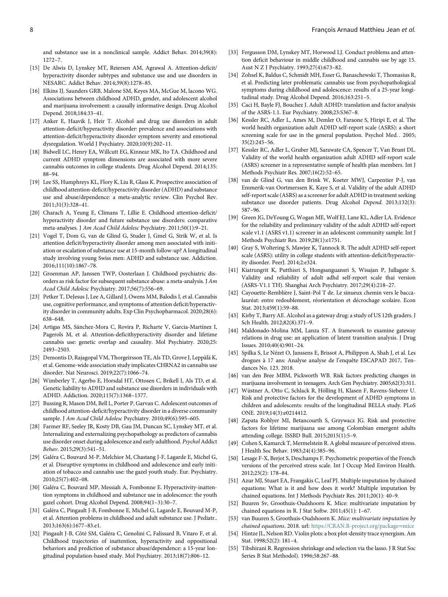and substance use in a nonclinical sample. Addict Behav. 2014;39(8): 1272–7.

- <span id="page-8-11"></span><span id="page-8-3"></span>[15] De Alwis D, Lynskey MT, Reiersen AM, Agrawal A. Attention-deficit/ hyperactivity disorder subtypes and substance use and use disorders in NESARC. Addict Behav. 2014;39(8):1278–85.
- <span id="page-8-12"></span><span id="page-8-4"></span>[16] Elkins IJ, Saunders GRB, Malone SM, Keyes MA, McGue M, lacono WG. Associations between childhood ADHD, gender, and adolescent alcohol and marijuana involvement: a causally informative design. Drug Alcohol Depend. 2018;184:33–41.
- <span id="page-8-0"></span>[17] Anker E, Haavik J, Heir T. Alcohol and drug use disorders in adult attention-deficit/hyperactivity disorder: prevalence and associations with attention-deficit/hyperactivity disorder symptom severity and emotional dysregulation. World J Psychiatry. 2020;10(9):202–11.
- <span id="page-8-1"></span>[18] Bidwell LC, Henry EA, Willcutt EG, Kinnear MK, Ito TA. Childhood and current ADHD symptom dimensions are associated with more severe cannabis outcomes in college students. Drug Alcohol Depend. 2014;135: 88–94.
- <span id="page-8-6"></span>[19] Lee SS, Humphreys KL, Flory K, Liu R, Glass K. Prospective association of childhood attention-deficit/hyperactivity disorder (ADHD) and substance use and abuse/dependence: a meta-analytic review. Clin Psychol Rev. 2011;31(3):328–41.
- <span id="page-8-7"></span>[20] Charach A, Yeung E, Climans T, Lillie E. Childhood attention-deficit/ hyperactivity disorder and future substance use disorders: comparative meta-analyses. J Am Acad Child Adolesc Psychiatry. 2011;50(1):9–21.
- [21] Vogel T, Dom G, van de Glind G, Studer J, Gmel G, Strik W, et al. Is attention deficit/hyperactivity disorder among men associated with initiation or escalation of substance use at 15-month follow-up? A longitudinal study involving young Swiss men: ADHD and substance use. Addiction. 2016;111(10):1867–78.
- <span id="page-8-2"></span>[22] Groenman AP, Janssen TWP, Oosterlaan J. Childhood psychiatric disorders as risk factor for subsequent substance abuse: a meta-analysis. J Am Acad Child Adolesc Psychiatry. 2017;56(7):556–69.
- <span id="page-8-5"></span>[23] Petker T, DeJesus J, Lee A, Gillard J, Owens MM, Balodis I, et al. Cannabis use, cognitive performance, and symptoms of attention deficit/hyperactivity disorder in community adults. Exp Clin Psychopharmacol. 2020;28(6): 638–648.
- <span id="page-8-8"></span>[24] Artigas MS, Sánchez-Mora C, Rovira P, Richarte V, Garcia-Martínez I, Pagerols M, et al. Attention-deficithyperactivity disorder and lifetime cannabis use: genetic overlap and causality. Mol Psychiatry. 2020;25: 2493–2503.
- [25] Demontis D, Rajagopal VM, Thorgeirsson TE, Als TD, Grove J, Leppälä K, et al. Genome-wide association study implicates CHRNA2 in cannabis use disorder. Nat Neurosci. 2019;22(7):1066–74.
- <span id="page-8-13"></span><span id="page-8-9"></span>[26] Wimberley T, Agerbo E, Horsdal HT, Ottosen C, Brikell I, Als TD, et al. Genetic liability to ADHD and substance use disorders in individuals with ADHD. Addiction. 2020;115(7):1368–1377.
- <span id="page-8-10"></span>[27] Bussing R, Mason DM, Bell L, Porter P, Garvan C. Adolescent outcomes of childhood attention-deficit/hyperactivity disorder in a diverse community sample. J Am Acad Child Adolesc Psychiatry. 2010;49(6):595-605.
- <span id="page-8-15"></span><span id="page-8-14"></span>[28] Farmer RF, Seeley JR, Kosty DB, Gau JM, Duncan SC, Lynskey MT, et al. Internalizing and externalizing psychopathology as predictors of cannabis use disorder onset during adolescence and early adulthood. Psychol Addict Behav. 2015;29(3):541–51.
- <span id="page-8-21"></span><span id="page-8-16"></span>[29] Galéra C, Bouvard M-P, Melchior M, Chastang J-F, Lagarde E, Michel G, et al. Disruptive symptoms in childhood and adolescence and early initiation of tobacco and cannabis use: the gazel youth study. Eur. Psychiatry. 2010;25(7):402–08.
- <span id="page-8-17"></span>[30] Galéra C, Bouvard MP, Messiah A, Fombonne E. Hyperactivity-inattention symptoms in childhood and substance use in adolescence: the youth gazel cohort. Drug Alcohol Depend. 2008;94(1–3):30–7.
- <span id="page-8-18"></span>[31] Galéra C, Pingault J-B, Fombonne E, Michel G, Lagarde E, Bouvard M-P, et al. Attention problems in childhood and adult substance use. J Pediatr.. 2013;163(6):1677–83.e1.
- <span id="page-8-20"></span><span id="page-8-19"></span>[32] Pingault J-B, Côté SM, Galéra C, Genolini C, Falissard B, Vitaro F, et al. Childhood trajectories of inattention, hyperactivity and oppositional behaviors and prediction of substance abuse/dependence: a 15-year longitudinal population-based study. Mol Psychiatry. 2013;18(7):806–12.
- [33] Fergusson DM, Lynskey MT, Horwood LJ. Conduct problems and attention deficit behaviour in middle childhood and cannabis use by age 15. Aust N Z J Psychiatry. 1993;27(4):673–82.
- [34] Zohsel K, Baldus C, Schmidt MH, Esser G, Banaschewski T, Thomasius R, et al. Predicting later problematic cannabis use from psychopathological symptoms during childhood and adolescence: results of a 25-year longitudinal study. Drug Alcohol Depend. 2016;163:251–5.
- [35] Caci H, Bayle FJ, Bouchez J. Adult ADHD: translation and factor analysis of the ASRS-1.1. Eur Psychiatry. 2008;23:S367–8.
- [36] Kessler RC, Adler L, Ames M, Demler O, Faraone S, Hiripi E, et al. The world health organization adult ADHD self-report scale (ASRS): a short screening scale for use in the general population. Psychol Med.. 2005; 35(2):245–56.
- [37] Kessler RC, Adler L, Gruber MJ, Sarawate CA, Spencer T, Van Brunt DL. Validity of the world health organization adult ADHD self-report scale (ASRS) screener in a representative sample of health plan members. Int J Methods Psychiatr Res. 2007;16(2):52–65.
- [38] van de Glind G, van den Brink W, Koeter MWJ, Carpentier P-J, van Emmerik-van Oortmerssen K, Kaye S, et al. Validity of the adult ADHD self-report scale (ASRS) as a screener for adult ADHD in treatment seeking substance use disorder patients. Drug Alcohol Depend. 2013;132(3): 587–96.
- [39] Green JG, DeYoung G, Wogan ME, Wolf EJ, Lane KL, Adler LA. Evidence for the reliability and preliminary validity of the adult ADHD self-report scale v1.1 (ASRS v1.1) screener in an adolescent community sample. Int J Methods Psychiatr Res. 2019;28(1):e1751.
- [40] Gray S, Woltering S, Mawjee K, Tannock R. The adult ADHD self-report scale (ASRS): utility in college students with attention-deficit/hyperactivity disorder. PeerJ. 2014;2:e324.
- [41] Kiatrungrit K, Putthisri S, Hongsanguansri S, Wisajan P, Jullagate S. Validity and reliability of adult adhd self-report scale thai version (ASRS-V1.1 TH). Shanghai Arch Psychiatry. 2017;29(4):218–27.
- [42] Cayouette-Remblière J, Saint-Pol T de. Le sinueux chemin vers le baccalauréat: entre redoublement, réorientation et décrochage scolaire. Econ Stat. 2013;459(1):59–88.
- [43] Kirby T, Barry AE. Alcohol as a gateway drug: a study of US 12th graders. J Sch Health. 2012;82(8):371–9.
- [44] Maldonado-Molina MM, Lanza ST. A framework to examine gateway relations in drug use: an application of latent transition analysis. J Drug Issues. 2010;40(4):901–24.
- [45] Spilka S, Le Nézet O, Janssens E, Brissot A, Philippon A, Shah J, et al. Les drogues à 17 ans: Analyse analyse de l'enquête ESCAPAD 2017, Tendances No. 123. 2018.
- [46] van den Bree MBM, Pickworth WB. Risk factors predicting changes in marijuana involvement in teenagers. Arch Gen Psychiatry. 2005;62(3):311.
- [47] Wüstner A, Otto C, Schlack R, Hölling H, Klasen F, Ravens-Sieberer U. Risk and protective factors for the development of ADHD symptoms in children and adolescents: results of the longitudinal BELLA study. PLoS ONE. 2019;14(3):e0214412.
- [48] Zapata Roblyer MI, Betancourth S, Grzywacz JG. Risk and protective factors for lifetime marijuana use among Colombian emergent adults attending college. ISSBD Bull. 2015;2015(1):5–9.
- [49] Cohen S, Kamarck T, Mermelstein R. A global measure of perceived stress. J Health Soc Behav. 1983;24(4):385–96.
- [50] Lesage F-X, Berjot S, Deschamps F. Psychometric properties of the French versions of the perceived stress scale. Int J Occup Med Environ Health. 2012;25(2): 178–84.
- [51] Azur MJ, Stuart EA, Frangakis C, Leaf PJ. Multiple imputation by chained equations: What is it and how does it work? Multiple imputation by chained equations. Int J Methods Psychiatr Res. 2011;20(1): 40–9.
- [52] Buuren Sv, Groothuis-Oudshoorn K. Mice: multivariate imputation by chained equations in R. J Stat Softw. 2011;45(1): 1–67.
- [53] van Buuren S, Groothuis-Oudshoorn K. Mice: multivariate imputation by chained equations. 2018. url: [https://CRAN.R-project.org/package](https://CRAN.R-project.org/package&e_x003D;mice)=mice
- [54] Hintze JL, Nelson RD. Violin plots: a box plot-density trace synergism. Am Stat. 1998;52(2): 181–4.
- [55] Tibshirani R. Regression shrinkage and selection via the lasso. J R Stat Soc Series B Stat Methodol). 1996;58:267–88.